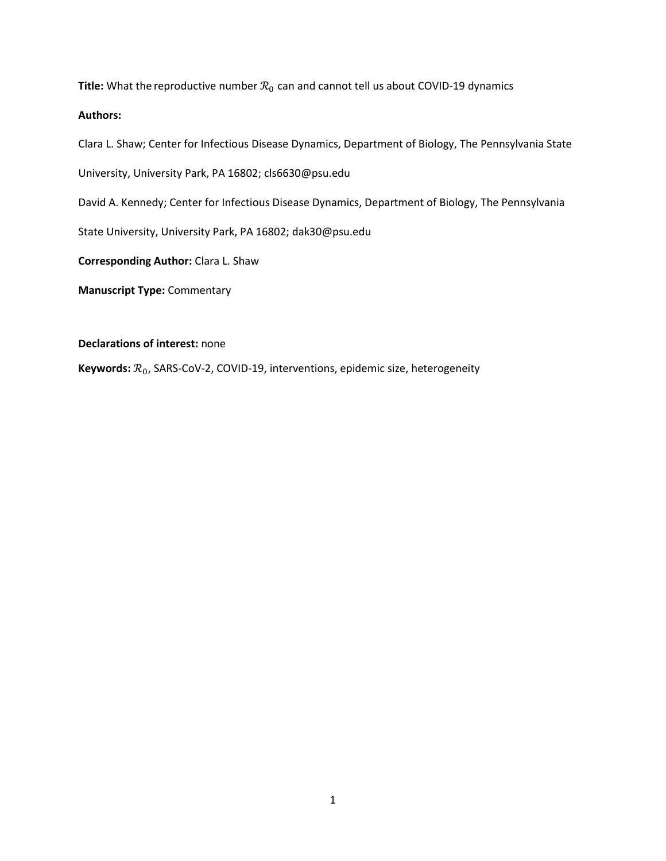**Title:** What the reproductive number  $\mathcal{R}_0$  can and cannot tell us about COVID-19 dynamics

# **Authors:**

Clara L. Shaw; Center for Infectious Disease Dynamics, Department of Biology, The Pennsylvania State

University, University Park, PA 16802; cls6630@psu.edu

David A. Kennedy; Center for Infectious Disease Dynamics, Department of Biology, The Pennsylvania

State University, University Park, PA 16802; dak30@psu.edu

**Corresponding Author:** Clara L. Shaw

**Manuscript Type:** Commentary

**Declarations of interest:** none

Keywords:  $\mathcal{R}_0$ , SARS-CoV-2, COVID-19, interventions, epidemic size, heterogeneity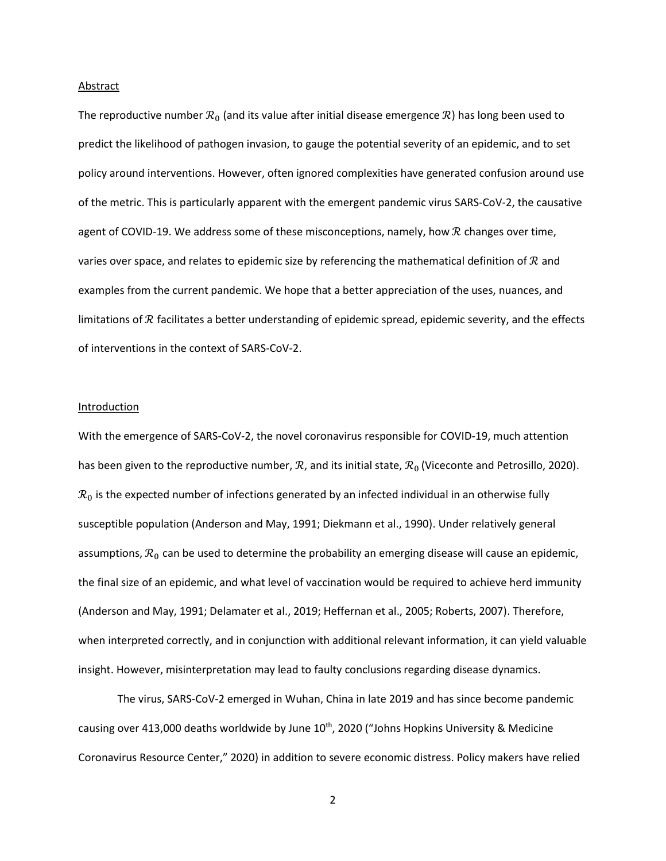#### Abstract

The reproductive number  $\mathcal{R}_0$  (and its value after initial disease emergence  $\mathcal{R}$ ) has long been used to predict the likelihood of pathogen invasion, to gauge the potential severity of an epidemic, and to set policy around interventions. However, often ignored complexities have generated confusion around use of the metric. This is particularly apparent with the emergent pandemic virus SARS-CoV-2, the causative agent of COVID-19. We address some of these misconceptions, namely, how  $R$  changes over time, varies over space, and relates to epidemic size by referencing the mathematical definition of  $\mathcal R$  and examples from the current pandemic. We hope that a better appreciation of the uses, nuances, and limitations of  $R$  facilitates a better understanding of epidemic spread, epidemic severity, and the effects of interventions in the context of SARS-CoV-2.

# **Introduction**

With the emergence of SARS-CoV-2, the novel coronavirus responsible for COVID-19, much attention has been given to the reproductive number,  $\mathcal{R}$ , and its initial state,  $\mathcal{R}_0$  (Viceconte and Petrosillo, 2020).  $\mathcal{R}_0$  is the expected number of infections generated by an infected individual in an otherwise fully susceptible population (Anderson and May, 1991; Diekmann et al., 1990). Under relatively general assumptions,  $\mathcal{R}_0$  can be used to determine the probability an emerging disease will cause an epidemic, the final size of an epidemic, and what level of vaccination would be required to achieve herd immunity (Anderson and May, 1991; Delamater et al., 2019; Heffernan et al., 2005; Roberts, 2007). Therefore, when interpreted correctly, and in conjunction with additional relevant information, it can yield valuable insight. However, misinterpretation may lead to faulty conclusions regarding disease dynamics.

The virus, SARS-CoV-2 emerged in Wuhan, China in late 2019 and has since become pandemic causing over 413,000 deaths worldwide by June 10<sup>th</sup>, 2020 ("Johns Hopkins University & Medicine Coronavirus Resource Center," 2020) in addition to severe economic distress. Policy makers have relied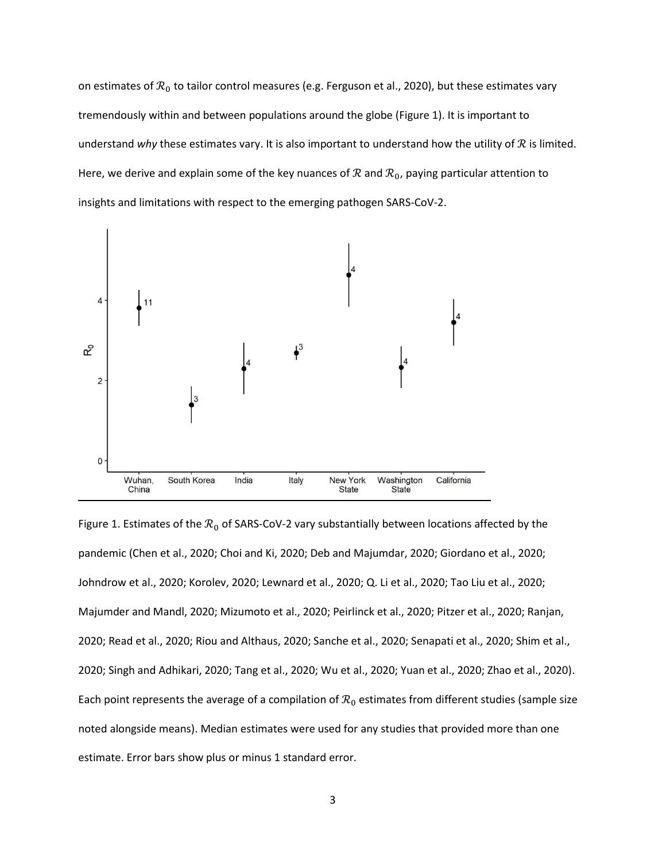on estimates of  $\mathcal{R}_0$  to tailor control measures (e.g. Ferguson et al., 2020), but these estimates vary tremendously within and between populations around the globe (Figure 1). It is important to understand *why* these estimates vary. It is also important to understand how the utility of  $R$  is limited. Here, we derive and explain some of the key nuances of  $R$  and  $R_0$ , paying particular attention to insights and limitations with respect to the emerging pathogen SARS-CoV-2.



Figure 1. Estimates of the  $\mathcal{R}_0$  of SARS-CoV-2 vary substantially between locations affected by the pandemic (Chen et al., 2020; Choi and Ki, 2020; Deb and Majumdar, 2020; Giordano et al., 2020; Johndrow et al., 2020; Korolev, 2020; Lewnard et al., 2020; Q. Li et al., 2020; Tao Liu et al., 2020; Majumder and Mandl, 2020; Mizumoto et al., 2020; Peirlinck et al., 2020; Pitzer et al., 2020; Ranjan, 2020; Read et al., 2020; Riou and Althaus, 2020; Sanche et al., 2020; Senapati et al., 2020; Shim et al., 2020; Singh and Adhikari, 2020; Tang et al., 2020; Wu et al., 2020; Yuan et al., 2020; Zhao et al., 2020). Each point represents the average of a compilation of  $\mathcal{R}_0$  estimates from different studies (sample size noted alongside means). Median estimates were used for any studies that provided more than one estimate. Error bars show plus or minus 1 standard error.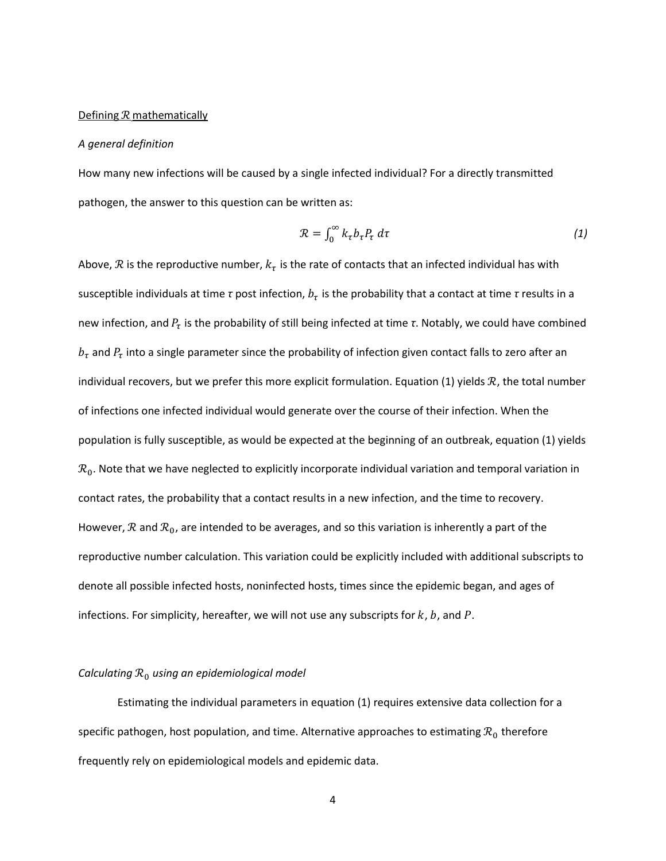#### Defining  $R$  mathematically

#### *A general definition*

How many new infections will be caused by a single infected individual? For a directly transmitted pathogen, the answer to this question can be written as:

$$
\mathcal{R} = \int_0^\infty k_\tau b_\tau P_\tau \, d\tau \tag{1}
$$

Above,  $\mathcal R$  is the reproductive number,  $k_\tau$  is the rate of contacts that an infected individual has with susceptible individuals at time *τ* post infection,  $b_\tau$  is the probability that a contact at time *τ* results in a new infection, and  $P_\tau$  is the probability of still being infected at time *τ*. Notably, we could have combined  $b_{\tau}$  and  $P_{\tau}$  into a single parameter since the probability of infection given contact falls to zero after an individual recovers, but we prefer this more explicit formulation. Equation (1) yields  $R$ , the total number of infections one infected individual would generate over the course of their infection. When the population is fully susceptible, as would be expected at the beginning of an outbreak, equation (1) yields  $\mathcal{R}_0$ . Note that we have neglected to explicitly incorporate individual variation and temporal variation in contact rates, the probability that a contact results in a new infection, and the time to recovery. However,  $\mathcal R$  and  $\mathcal R_0$ , are intended to be averages, and so this variation is inherently a part of the reproductive number calculation. This variation could be explicitly included with additional subscripts to denote all possible infected hosts, noninfected hosts, times since the epidemic began, and ages of infections. For simplicity, hereafter, we will not use any subscripts for  $k$ ,  $b$ , and  $P$ .

#### *Calculating* ℛ<sup>0</sup> *using an epidemiological model*

Estimating the individual parameters in equation (1) requires extensive data collection for a specific pathogen, host population, and time. Alternative approaches to estimating  $\mathcal{R}_0$  therefore frequently rely on epidemiological models and epidemic data.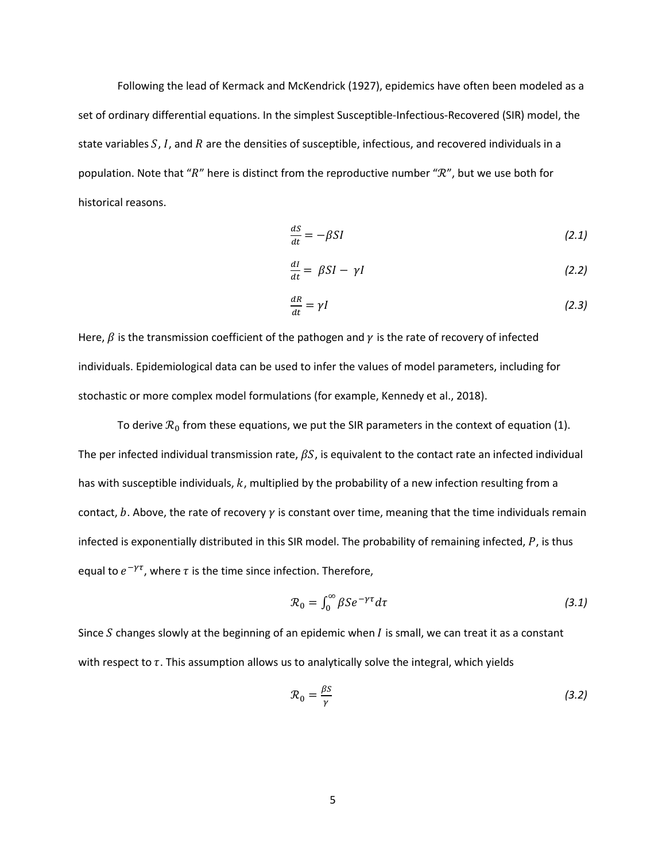Following the lead of Kermack and McKendrick (1927), epidemics have often been modeled as a set of ordinary differential equations. In the simplest Susceptible-Infectious-Recovered (SIR) model, the state variables  $S$ ,  $I$ , and  $R$  are the densities of susceptible, infectious, and recovered individuals in a population. Note that " $R$ " here is distinct from the reproductive number " $R$ ", but we use both for historical reasons.

$$
\frac{dS}{dt} = -\beta SI \tag{2.1}
$$

$$
\frac{dl}{dt} = \beta SI - \gamma I \tag{2.2}
$$

$$
\frac{dR}{dt} = \gamma I \tag{2.3}
$$

Here,  $\beta$  is the transmission coefficient of the pathogen and  $\gamma$  is the rate of recovery of infected individuals. Epidemiological data can be used to infer the values of model parameters, including for stochastic or more complex model formulations (for example, Kennedy et al., 2018).

To derive  $\mathcal{R}_0$  from these equations, we put the SIR parameters in the context of equation (1). The per infected individual transmission rate,  $\beta S$ , is equivalent to the contact rate an infected individual has with susceptible individuals,  $k$ , multiplied by the probability of a new infection resulting from a contact,  $b$ . Above, the rate of recovery  $\gamma$  is constant over time, meaning that the time individuals remain infected is exponentially distributed in this SIR model. The probability of remaining infected,  $P$ , is thus equal to  $e^{-\gamma \tau}$ , where  $\tau$  is the time since infection. Therefore,

$$
\mathcal{R}_0 = \int_0^\infty \beta S e^{-\gamma \tau} d\tau \tag{3.1}
$$

Since  $S$  changes slowly at the beginning of an epidemic when  $I$  is small, we can treat it as a constant with respect to  $\tau$ . This assumption allows us to analytically solve the integral, which yields

$$
\mathcal{R}_0 = \frac{\beta S}{\gamma} \tag{3.2}
$$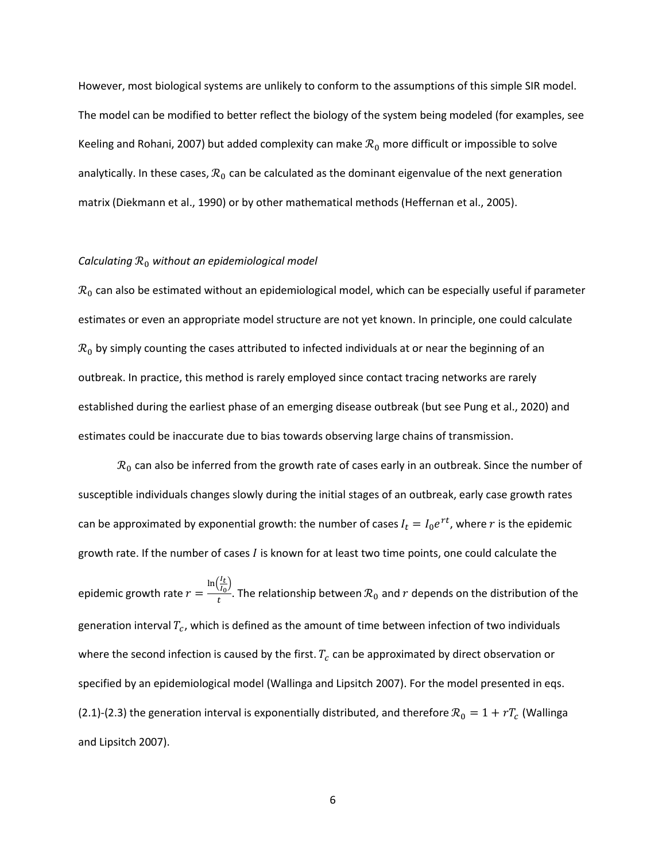However, most biological systems are unlikely to conform to the assumptions of this simple SIR model. The model can be modified to better reflect the biology of the system being modeled (for examples, see Keeling and Rohani, 2007) but added complexity can make  $\mathcal{R}_0$  more difficult or impossible to solve analytically. In these cases,  $\mathcal{R}_0$  can be calculated as the dominant eigenvalue of the next generation matrix (Diekmann et al., 1990) or by other mathematical methods (Heffernan et al., 2005).

# *Calculating*  $R_0$  *without an epidemiological model*

 $\mathcal{R}_0$  can also be estimated without an epidemiological model, which can be especially useful if parameter estimates or even an appropriate model structure are not yet known. In principle, one could calculate  $\mathcal{R}_0$  by simply counting the cases attributed to infected individuals at or near the beginning of an outbreak. In practice, this method is rarely employed since contact tracing networks are rarely established during the earliest phase of an emerging disease outbreak (but see Pung et al., 2020) and estimates could be inaccurate due to bias towards observing large chains of transmission.

 $\mathcal{R}_0$  can also be inferred from the growth rate of cases early in an outbreak. Since the number of susceptible individuals changes slowly during the initial stages of an outbreak, early case growth rates can be approximated by exponential growth: the number of cases  $I_t = I_0 e^{rt}$ , where  $r$  is the epidemic growth rate. If the number of cases  $I$  is known for at least two time points, one could calculate the epidemic growth rate  $r = \frac{\ln(\frac{I_t}{I_0})}{t}$  $\frac{I_L}{I_0}$  $\frac{u_0}{t}$ . The relationship between  $\mathcal{R}_0$  and  $r$  depends on the distribution of the generation interval  $T_c$ , which is defined as the amount of time between infection of two individuals where the second infection is caused by the first.  $T_c$  can be approximated by direct observation or specified by an epidemiological model (Wallinga and Lipsitch 2007). For the model presented in eqs. (2.1)-(2.3) the generation interval is exponentially distributed, and therefore  $\mathcal{R}_0 = 1 + rT_c$  (Wallinga and Lipsitch 2007).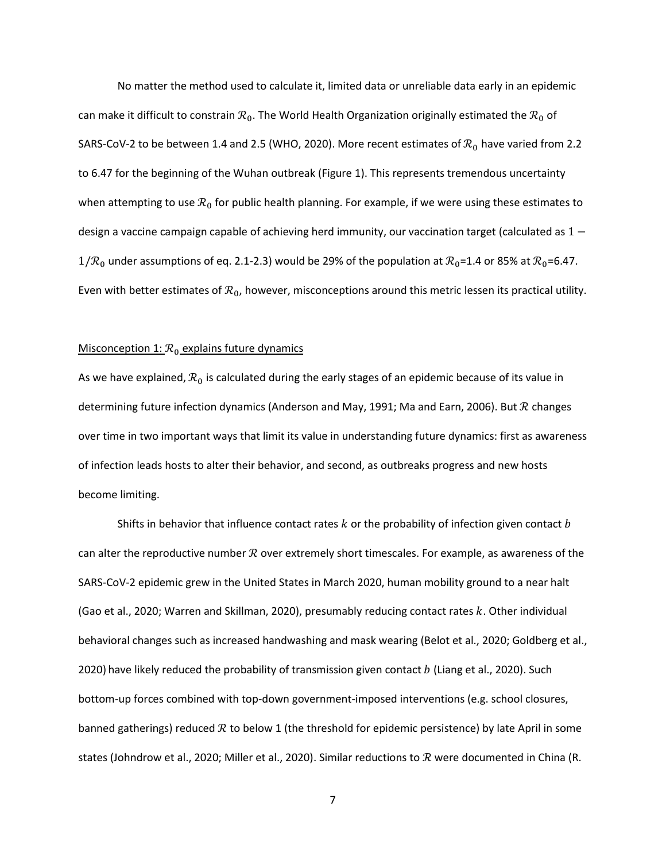No matter the method used to calculate it, limited data or unreliable data early in an epidemic can make it difficult to constrain  $\mathcal{R}_0$ . The World Health Organization originally estimated the  $\mathcal{R}_0$  of SARS-CoV-2 to be between 1.4 and 2.5 (WHO, 2020). More recent estimates of  $\mathcal{R}_0$  have varied from 2.2 to 6.47 for the beginning of the Wuhan outbreak (Figure 1). This represents tremendous uncertainty when attempting to use  $\mathcal{R}_0$  for public health planning. For example, if we were using these estimates to design a vaccine campaign capable of achieving herd immunity, our vaccination target (calculated as  $1 1/R_0$  under assumptions of eq. 2.1-2.3) would be 29% of the population at  $R_0$ =1.4 or 85% at  $R_0$ =6.47. Even with better estimates of  $\mathcal{R}_0$ , however, misconceptions around this metric lessen its practical utility.

### Misconception 1:  $\mathcal{R}_0$  explains future dynamics

As we have explained,  $\mathcal{R}_0$  is calculated during the early stages of an epidemic because of its value in determining future infection dynamics (Anderson and May, 1991; Ma and Earn, 2006). But  $R$  changes over time in two important ways that limit its value in understanding future dynamics: first as awareness of infection leads hosts to alter their behavior, and second, as outbreaks progress and new hosts become limiting.

Shifts in behavior that influence contact rates  $k$  or the probability of infection given contact  $b$ can alter the reproductive number  $R$  over extremely short timescales. For example, as awareness of the SARS-CoV-2 epidemic grew in the United States in March 2020, human mobility ground to a near halt (Gao et al., 2020; Warren and Skillman, 2020), presumably reducing contact rates k. Other individual behavioral changes such as increased handwashing and mask wearing (Belot et al., 2020; Goldberg et al., 2020) have likely reduced the probability of transmission given contact  $b$  (Liang et al., 2020). Such bottom-up forces combined with top-down government-imposed interventions (e.g. school closures, banned gatherings) reduced  $R$  to below 1 (the threshold for epidemic persistence) by late April in some states (Johndrow et al., 2020; Miller et al., 2020). Similar reductions to  $R$  were documented in China (R.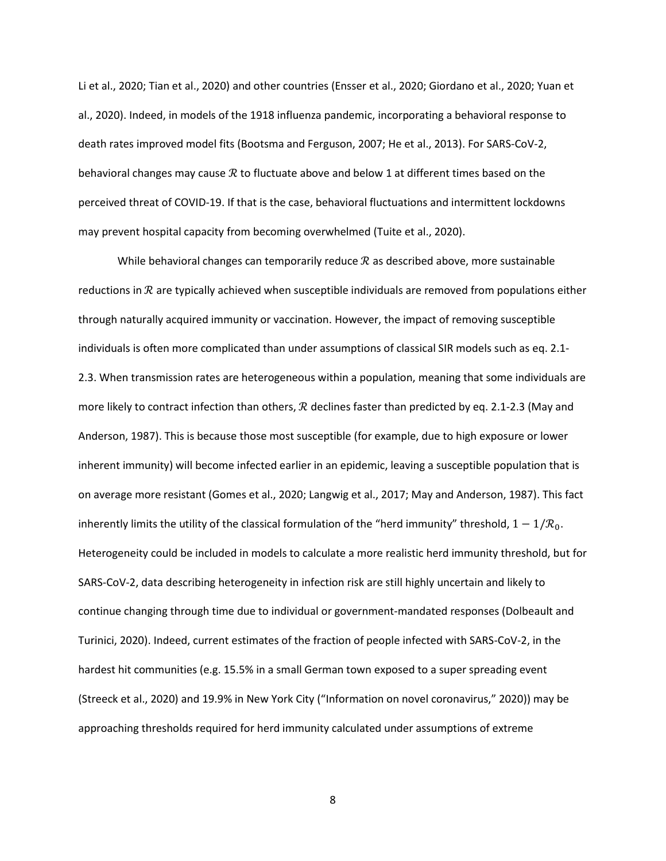Li et al., 2020; Tian et al., 2020) and other countries (Ensser et al., 2020; Giordano et al., 2020; Yuan et al., 2020). Indeed, in models of the 1918 influenza pandemic, incorporating a behavioral response to death rates improved model fits (Bootsma and Ferguson, 2007; He et al., 2013). For SARS-CoV-2, behavioral changes may cause  $R$  to fluctuate above and below 1 at different times based on the perceived threat of COVID-19. If that is the case, behavioral fluctuations and intermittent lockdowns may prevent hospital capacity from becoming overwhelmed (Tuite et al., 2020).

While behavioral changes can temporarily reduce  $\mathcal R$  as described above, more sustainable reductions in  $R$  are typically achieved when susceptible individuals are removed from populations either through naturally acquired immunity or vaccination. However, the impact of removing susceptible individuals is often more complicated than under assumptions of classical SIR models such as eq. 2.1- 2.3. When transmission rates are heterogeneous within a population, meaning that some individuals are more likely to contract infection than others,  $R$  declines faster than predicted by eq. 2.1-2.3 (May and Anderson, 1987). This is because those most susceptible (for example, due to high exposure or lower inherent immunity) will become infected earlier in an epidemic, leaving a susceptible population that is on average more resistant (Gomes et al., 2020; Langwig et al., 2017; May and Anderson, 1987). This fact inherently limits the utility of the classical formulation of the "herd immunity" threshold,  $1 - 1/R_0$ . Heterogeneity could be included in models to calculate a more realistic herd immunity threshold, but for SARS-CoV-2, data describing heterogeneity in infection risk are still highly uncertain and likely to continue changing through time due to individual or government-mandated responses (Dolbeault and Turinici, 2020). Indeed, current estimates of the fraction of people infected with SARS-CoV-2, in the hardest hit communities (e.g. 15.5% in a small German town exposed to a super spreading event (Streeck et al., 2020) and 19.9% in New York City ("Information on novel coronavirus," 2020)) may be approaching thresholds required for herd immunity calculated under assumptions of extreme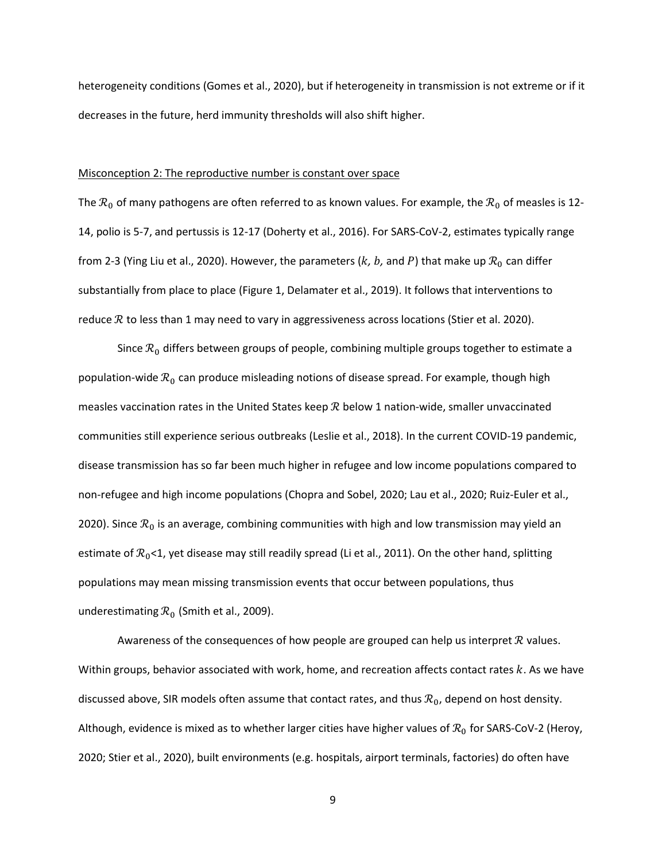heterogeneity conditions (Gomes et al., 2020), but if heterogeneity in transmission is not extreme or if it decreases in the future, herd immunity thresholds will also shift higher.

# Misconception 2: The reproductive number is constant over space

The  $\mathcal{R}_0$  of many pathogens are often referred to as known values. For example, the  $\mathcal{R}_0$  of measles is 12-14, polio is 5-7, and pertussis is 12-17 (Doherty et al., 2016). For SARS-CoV-2, estimates typically range from 2-3 (Ying Liu et al., 2020). However, the parameters ( $k$ ,  $b$ , and  $P$ ) that make up  $\mathcal{R}_0$  can differ substantially from place to place (Figure 1, Delamater et al., 2019). It follows that interventions to reduce  $R$  to less than 1 may need to vary in aggressiveness across locations (Stier et al. 2020).

Since  $\mathcal{R}_0$  differs between groups of people, combining multiple groups together to estimate a population-wide  $\mathcal{R}_0$  can produce misleading notions of disease spread. For example, though high measles vaccination rates in the United States keep  $R$  below 1 nation-wide, smaller unvaccinated communities still experience serious outbreaks (Leslie et al., 2018). In the current COVID-19 pandemic, disease transmission has so far been much higher in refugee and low income populations compared to non-refugee and high income populations (Chopra and Sobel, 2020; Lau et al., 2020; Ruiz-Euler et al., 2020). Since  $\mathcal{R}_0$  is an average, combining communities with high and low transmission may yield an estimate of  $\mathcal{R}_0$ <1, yet disease may still readily spread (Li et al., 2011). On the other hand, splitting populations may mean missing transmission events that occur between populations, thus underestimating  $\mathcal{R}_0$  (Smith et al., 2009).

Awareness of the consequences of how people are grouped can help us interpret  $R$  values. Within groups, behavior associated with work, home, and recreation affects contact rates  $k$ . As we have discussed above, SIR models often assume that contact rates, and thus  $\mathcal{R}_0$ , depend on host density. Although, evidence is mixed as to whether larger cities have higher values of  $\mathcal{R}_0$  for SARS-CoV-2 (Heroy, 2020; Stier et al., 2020), built environments (e.g. hospitals, airport terminals, factories) do often have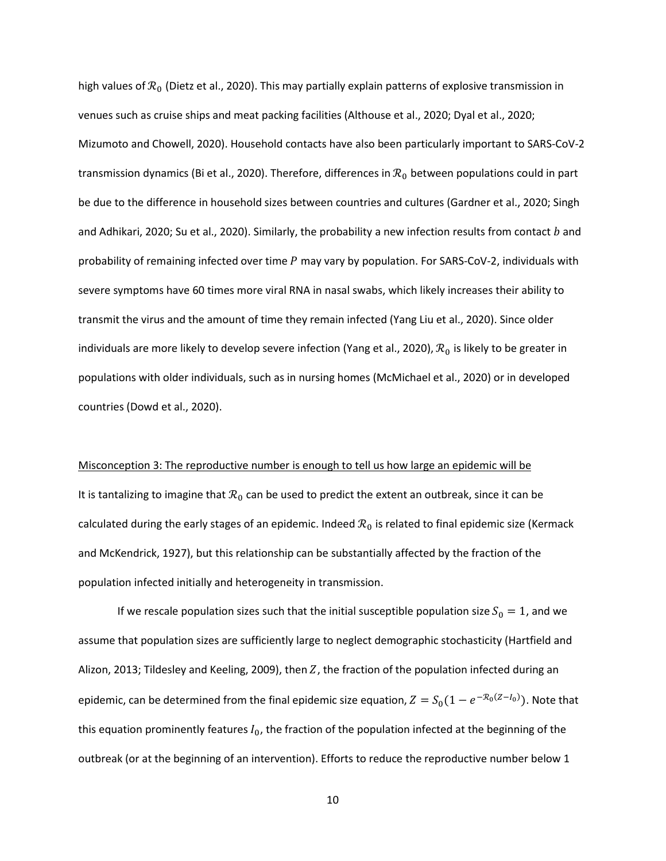high values of  $\mathcal{R}_0$  (Dietz et al., 2020). This may partially explain patterns of explosive transmission in venues such as cruise ships and meat packing facilities (Althouse et al., 2020; Dyal et al., 2020; Mizumoto and Chowell, 2020). Household contacts have also been particularly important to SARS-CoV-2 transmission dynamics (Bi et al., 2020). Therefore, differences in  $\mathcal{R}_0$  between populations could in part be due to the difference in household sizes between countries and cultures (Gardner et al., 2020; Singh and Adhikari, 2020; Su et al., 2020). Similarly, the probability a new infection results from contact  $b$  and probability of remaining infected over time  $P$  may vary by population. For SARS-CoV-2, individuals with severe symptoms have 60 times more viral RNA in nasal swabs, which likely increases their ability to transmit the virus and the amount of time they remain infected (Yang Liu et al., 2020). Since older individuals are more likely to develop severe infection (Yang et al., 2020),  $\mathcal{R}_0$  is likely to be greater in populations with older individuals, such as in nursing homes (McMichael et al., 2020) or in developed countries (Dowd et al., 2020).

Misconception 3: The reproductive number is enough to tell us how large an epidemic will be It is tantalizing to imagine that  $\mathcal{R}_0$  can be used to predict the extent an outbreak, since it can be calculated during the early stages of an epidemic. Indeed  $\mathcal{R}_0$  is related to final epidemic size (Kermack and McKendrick, 1927), but this relationship can be substantially affected by the fraction of the population infected initially and heterogeneity in transmission.

If we rescale population sizes such that the initial susceptible population size  $S_0 = 1$ , and we assume that population sizes are sufficiently large to neglect demographic stochasticity (Hartfield and Alizon, 2013; Tildesley and Keeling, 2009), then  $Z$ , the fraction of the population infected during an epidemic, can be determined from the final epidemic size equation,  $Z = S_0 (1 - e^{-\mathcal{R}_0 (Z-I_0)})$ . Note that this equation prominently features  $I_0$ , the fraction of the population infected at the beginning of the outbreak (or at the beginning of an intervention). Efforts to reduce the reproductive number below 1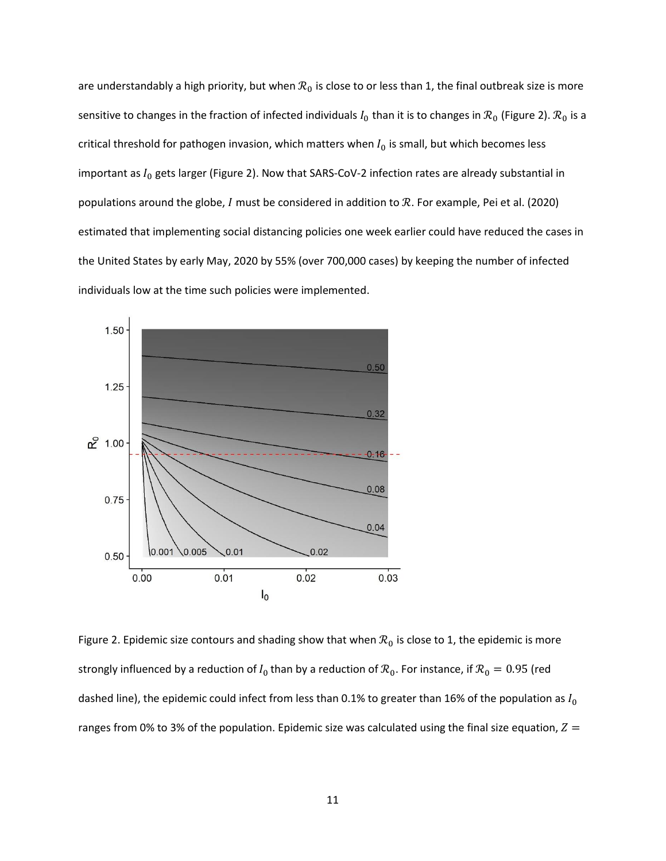are understandably a high priority, but when  $\mathcal{R}_0$  is close to or less than 1, the final outbreak size is more sensitive to changes in the fraction of infected individuals  $I_0$  than it is to changes in  $\mathcal{R}_0$  (Figure 2).  $\mathcal{R}_0$  is a critical threshold for pathogen invasion, which matters when  $I_0$  is small, but which becomes less important as  $I_0$  gets larger (Figure 2). Now that SARS-CoV-2 infection rates are already substantial in populations around the globe,  $I$  must be considered in addition to  $R$ . For example, Pei et al. (2020) estimated that implementing social distancing policies one week earlier could have reduced the cases in the United States by early May, 2020 by 55% (over 700,000 cases) by keeping the number of infected individuals low at the time such policies were implemented.



Figure 2. Epidemic size contours and shading show that when  $\mathcal{R}_0$  is close to 1, the epidemic is more strongly influenced by a reduction of  $I_0$  than by a reduction of  $\mathcal{R}_0$ . For instance, if  $\mathcal{R}_0 = 0.95$  (red dashed line), the epidemic could infect from less than 0.1% to greater than 16% of the population as  $I_0$ ranges from 0% to 3% of the population. Epidemic size was calculated using the final size equation,  $Z =$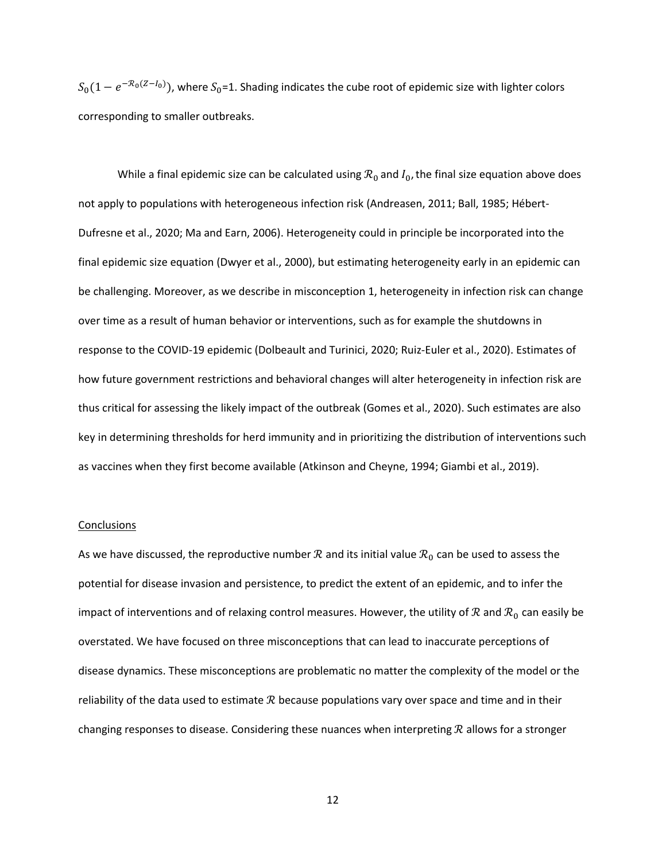$S_0(1-e^{-\mathcal{R}_0(Z-I_0)})$ , where  $S_0$ =1. Shading indicates the cube root of epidemic size with lighter colors corresponding to smaller outbreaks.

While a final epidemic size can be calculated using  $\mathcal{R}_0$  and  $I_0$ , the final size equation above does not apply to populations with heterogeneous infection risk (Andreasen, 2011; Ball, 1985; Hébert-Dufresne et al., 2020; Ma and Earn, 2006). Heterogeneity could in principle be incorporated into the final epidemic size equation (Dwyer et al., 2000), but estimating heterogeneity early in an epidemic can be challenging. Moreover, as we describe in misconception 1, heterogeneity in infection risk can change over time as a result of human behavior or interventions, such as for example the shutdowns in response to the COVID-19 epidemic (Dolbeault and Turinici, 2020; Ruiz-Euler et al., 2020). Estimates of how future government restrictions and behavioral changes will alter heterogeneity in infection risk are thus critical for assessing the likely impact of the outbreak (Gomes et al., 2020). Such estimates are also key in determining thresholds for herd immunity and in prioritizing the distribution of interventions such as vaccines when they first become available (Atkinson and Cheyne, 1994; Giambi et al., 2019).

### **Conclusions**

As we have discussed, the reproductive number  $R$  and its initial value  $R_0$  can be used to assess the potential for disease invasion and persistence, to predict the extent of an epidemic, and to infer the impact of interventions and of relaxing control measures. However, the utility of  $\mathcal R$  and  $\mathcal R_0$  can easily be overstated. We have focused on three misconceptions that can lead to inaccurate perceptions of disease dynamics. These misconceptions are problematic no matter the complexity of the model or the reliability of the data used to estimate  $R$  because populations vary over space and time and in their changing responses to disease. Considering these nuances when interpreting  $R$  allows for a stronger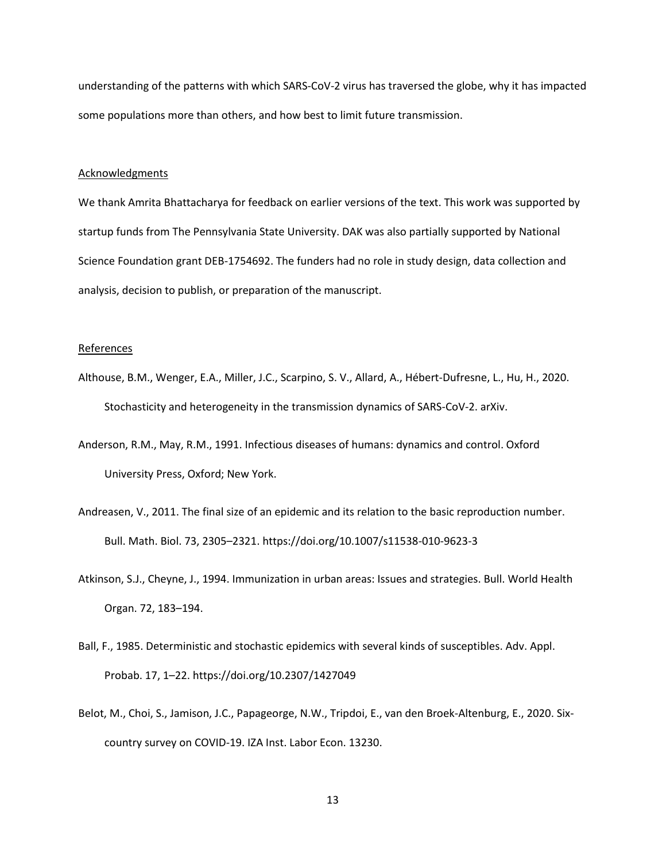understanding of the patterns with which SARS-CoV-2 virus has traversed the globe, why it has impacted some populations more than others, and how best to limit future transmission.

# **Acknowledgments**

We thank Amrita Bhattacharya for feedback on earlier versions of the text. This work was supported by startup funds from The Pennsylvania State University. DAK was also partially supported by National Science Foundation grant DEB-1754692. The funders had no role in study design, data collection and analysis, decision to publish, or preparation of the manuscript.

### References

- Althouse, B.M., Wenger, E.A., Miller, J.C., Scarpino, S. V., Allard, A., Hébert-Dufresne, L., Hu, H., 2020. Stochasticity and heterogeneity in the transmission dynamics of SARS-CoV-2. arXiv.
- Anderson, R.M., May, R.M., 1991. Infectious diseases of humans: dynamics and control. Oxford University Press, Oxford; New York.
- Andreasen, V., 2011. The final size of an epidemic and its relation to the basic reproduction number. Bull. Math. Biol. 73, 2305–2321. https://doi.org/10.1007/s11538-010-9623-3
- Atkinson, S.J., Cheyne, J., 1994. Immunization in urban areas: Issues and strategies. Bull. World Health Organ. 72, 183–194.
- Ball, F., 1985. Deterministic and stochastic epidemics with several kinds of susceptibles. Adv. Appl. Probab. 17, 1–22. https://doi.org/10.2307/1427049
- Belot, M., Choi, S., Jamison, J.C., Papageorge, N.W., Tripdoi, E., van den Broek-Altenburg, E., 2020. Sixcountry survey on COVID-19. IZA Inst. Labor Econ. 13230.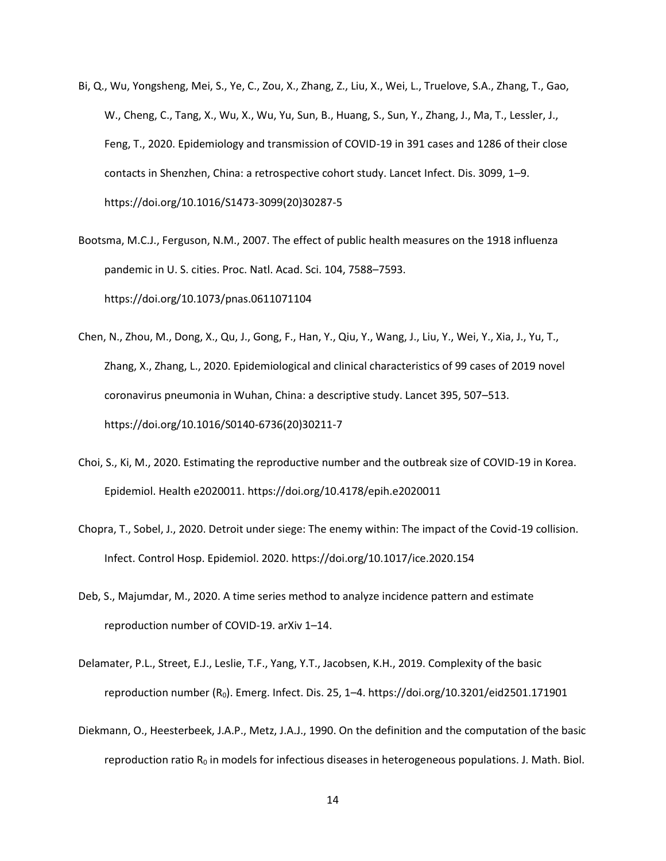- Bi, Q., Wu, Yongsheng, Mei, S., Ye, C., Zou, X., Zhang, Z., Liu, X., Wei, L., Truelove, S.A., Zhang, T., Gao, W., Cheng, C., Tang, X., Wu, X., Wu, Yu, Sun, B., Huang, S., Sun, Y., Zhang, J., Ma, T., Lessler, J., Feng, T., 2020. Epidemiology and transmission of COVID-19 in 391 cases and 1286 of their close contacts in Shenzhen, China: a retrospective cohort study. Lancet Infect. Dis. 3099, 1–9. https://doi.org/10.1016/S1473-3099(20)30287-5
- Bootsma, M.C.J., Ferguson, N.M., 2007. The effect of public health measures on the 1918 influenza pandemic in U. S. cities. Proc. Natl. Acad. Sci. 104, 7588–7593. https://doi.org/10.1073/pnas.0611071104
- Chen, N., Zhou, M., Dong, X., Qu, J., Gong, F., Han, Y., Qiu, Y., Wang, J., Liu, Y., Wei, Y., Xia, J., Yu, T., Zhang, X., Zhang, L., 2020. Epidemiological and clinical characteristics of 99 cases of 2019 novel coronavirus pneumonia in Wuhan, China: a descriptive study. Lancet 395, 507–513. https://doi.org/10.1016/S0140-6736(20)30211-7
- Choi, S., Ki, M., 2020. Estimating the reproductive number and the outbreak size of COVID-19 in Korea. Epidemiol. Health e2020011. https://doi.org/10.4178/epih.e2020011
- Chopra, T., Sobel, J., 2020. Detroit under siege: The enemy within: The impact of the Covid-19 collision. Infect. Control Hosp. Epidemiol. 2020. https://doi.org/10.1017/ice.2020.154
- Deb, S., Majumdar, M., 2020. A time series method to analyze incidence pattern and estimate reproduction number of COVID-19. arXiv 1–14.
- Delamater, P.L., Street, E.J., Leslie, T.F., Yang, Y.T., Jacobsen, K.H., 2019. Complexity of the basic reproduction number (R0). Emerg. Infect. Dis. 25, 1–4. https://doi.org/10.3201/eid2501.171901
- Diekmann, O., Heesterbeek, J.A.P., Metz, J.A.J., 1990. On the definition and the computation of the basic reproduction ratio  $R_0$  in models for infectious diseases in heterogeneous populations. J. Math. Biol.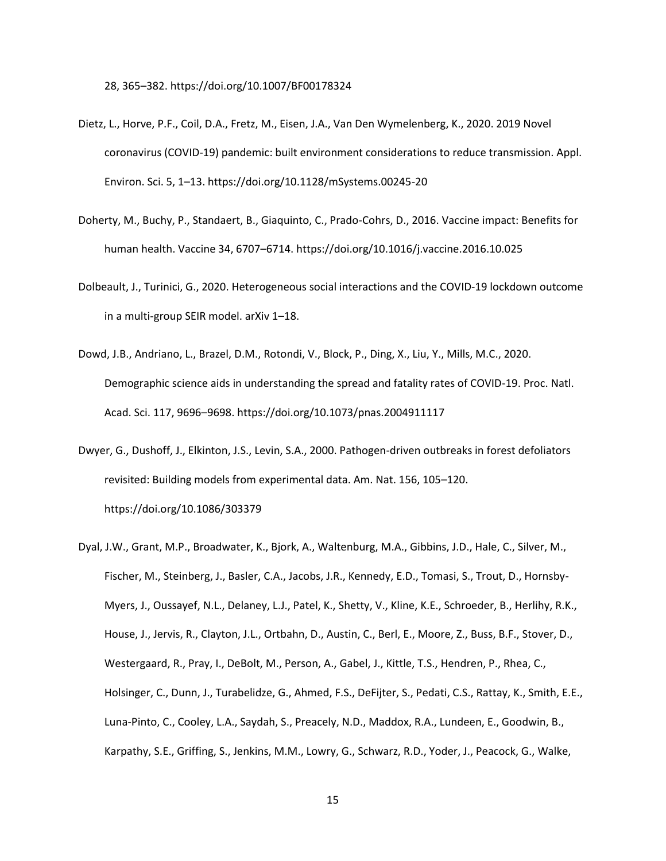28, 365–382. https://doi.org/10.1007/BF00178324

- Dietz, L., Horve, P.F., Coil, D.A., Fretz, M., Eisen, J.A., Van Den Wymelenberg, K., 2020. 2019 Novel coronavirus (COVID-19) pandemic: built environment considerations to reduce transmission. Appl. Environ. Sci. 5, 1–13. https://doi.org/10.1128/mSystems.00245-20
- Doherty, M., Buchy, P., Standaert, B., Giaquinto, C., Prado-Cohrs, D., 2016. Vaccine impact: Benefits for human health. Vaccine 34, 6707–6714. https://doi.org/10.1016/j.vaccine.2016.10.025
- Dolbeault, J., Turinici, G., 2020. Heterogeneous social interactions and the COVID-19 lockdown outcome in a multi-group SEIR model. arXiv 1–18.
- Dowd, J.B., Andriano, L., Brazel, D.M., Rotondi, V., Block, P., Ding, X., Liu, Y., Mills, M.C., 2020. Demographic science aids in understanding the spread and fatality rates of COVID-19. Proc. Natl. Acad. Sci. 117, 9696–9698. https://doi.org/10.1073/pnas.2004911117
- Dwyer, G., Dushoff, J., Elkinton, J.S., Levin, S.A., 2000. Pathogen-driven outbreaks in forest defoliators revisited: Building models from experimental data. Am. Nat. 156, 105–120. https://doi.org/10.1086/303379
- Dyal, J.W., Grant, M.P., Broadwater, K., Bjork, A., Waltenburg, M.A., Gibbins, J.D., Hale, C., Silver, M., Fischer, M., Steinberg, J., Basler, C.A., Jacobs, J.R., Kennedy, E.D., Tomasi, S., Trout, D., Hornsby-Myers, J., Oussayef, N.L., Delaney, L.J., Patel, K., Shetty, V., Kline, K.E., Schroeder, B., Herlihy, R.K., House, J., Jervis, R., Clayton, J.L., Ortbahn, D., Austin, C., Berl, E., Moore, Z., Buss, B.F., Stover, D., Westergaard, R., Pray, I., DeBolt, M., Person, A., Gabel, J., Kittle, T.S., Hendren, P., Rhea, C., Holsinger, C., Dunn, J., Turabelidze, G., Ahmed, F.S., DeFijter, S., Pedati, C.S., Rattay, K., Smith, E.E., Luna-Pinto, C., Cooley, L.A., Saydah, S., Preacely, N.D., Maddox, R.A., Lundeen, E., Goodwin, B., Karpathy, S.E., Griffing, S., Jenkins, M.M., Lowry, G., Schwarz, R.D., Yoder, J., Peacock, G., Walke,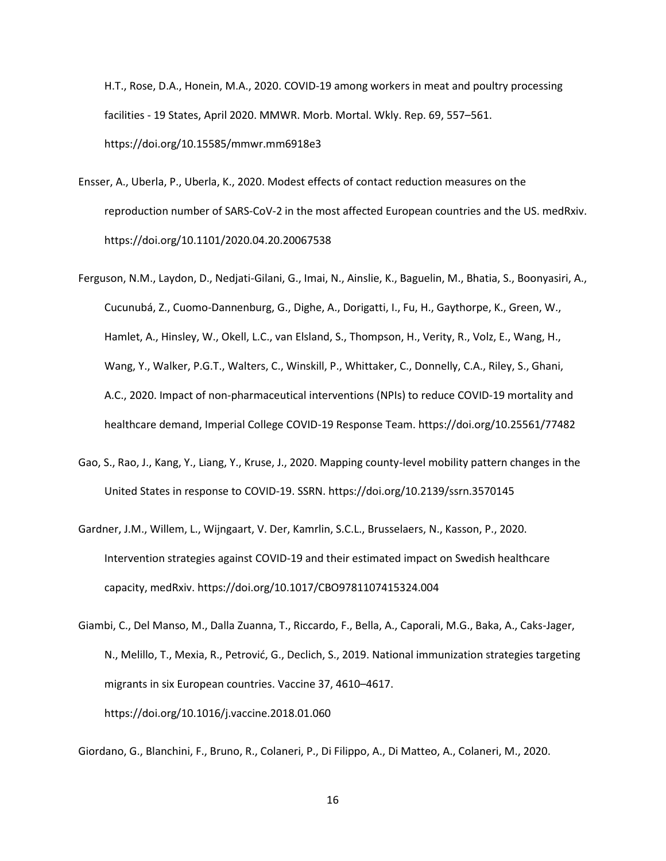H.T., Rose, D.A., Honein, M.A., 2020. COVID-19 among workers in meat and poultry processing facilities - 19 States, April 2020. MMWR. Morb. Mortal. Wkly. Rep. 69, 557–561. https://doi.org/10.15585/mmwr.mm6918e3

- Ensser, A., Uberla, P., Uberla, K., 2020. Modest effects of contact reduction measures on the reproduction number of SARS-CoV-2 in the most affected European countries and the US. medRxiv. https://doi.org/10.1101/2020.04.20.20067538
- Ferguson, N.M., Laydon, D., Nedjati-Gilani, G., Imai, N., Ainslie, K., Baguelin, M., Bhatia, S., Boonyasiri, A., Cucunubá, Z., Cuomo-Dannenburg, G., Dighe, A., Dorigatti, I., Fu, H., Gaythorpe, K., Green, W., Hamlet, A., Hinsley, W., Okell, L.C., van Elsland, S., Thompson, H., Verity, R., Volz, E., Wang, H., Wang, Y., Walker, P.G.T., Walters, C., Winskill, P., Whittaker, C., Donnelly, C.A., Riley, S., Ghani, A.C., 2020. Impact of non-pharmaceutical interventions (NPIs) to reduce COVID-19 mortality and healthcare demand, Imperial College COVID-19 Response Team. https://doi.org/10.25561/77482
- Gao, S., Rao, J., Kang, Y., Liang, Y., Kruse, J., 2020. Mapping county-level mobility pattern changes in the United States in response to COVID-19. SSRN. https://doi.org/10.2139/ssrn.3570145
- Gardner, J.M., Willem, L., Wijngaart, V. Der, Kamrlin, S.C.L., Brusselaers, N., Kasson, P., 2020. Intervention strategies against COVID-19 and their estimated impact on Swedish healthcare capacity, medRxiv. https://doi.org/10.1017/CBO9781107415324.004
- Giambi, C., Del Manso, M., Dalla Zuanna, T., Riccardo, F., Bella, A., Caporali, M.G., Baka, A., Caks-Jager, N., Melillo, T., Mexia, R., Petrović, G., Declich, S., 2019. National immunization strategies targeting migrants in six European countries. Vaccine 37, 4610–4617. https://doi.org/10.1016/j.vaccine.2018.01.060

Giordano, G., Blanchini, F., Bruno, R., Colaneri, P., Di Filippo, A., Di Matteo, A., Colaneri, M., 2020.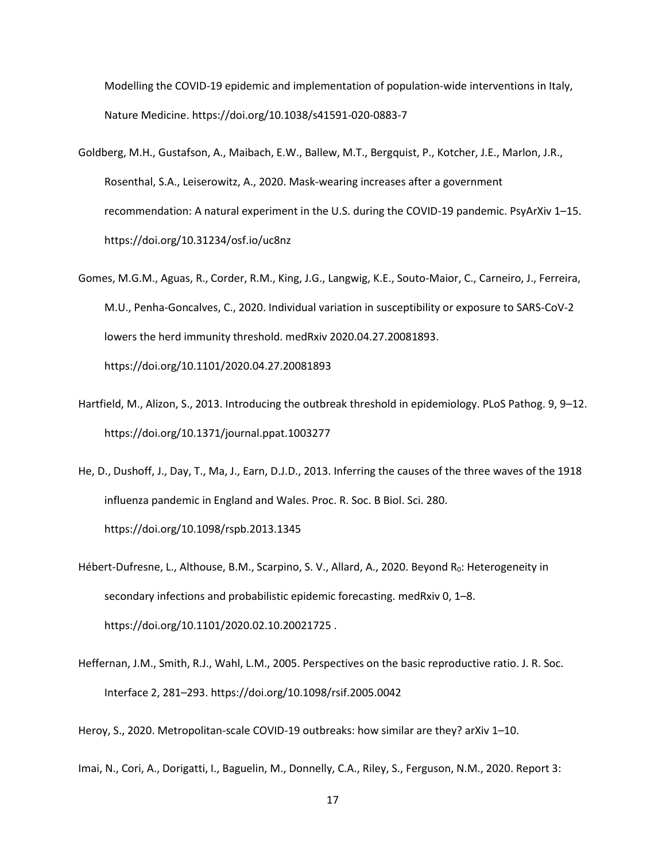Modelling the COVID-19 epidemic and implementation of population-wide interventions in Italy, Nature Medicine. https://doi.org/10.1038/s41591-020-0883-7

- Goldberg, M.H., Gustafson, A., Maibach, E.W., Ballew, M.T., Bergquist, P., Kotcher, J.E., Marlon, J.R., Rosenthal, S.A., Leiserowitz, A., 2020. Mask-wearing increases after a government recommendation: A natural experiment in the U.S. during the COVID-19 pandemic. PsyArXiv 1–15. https://doi.org/10.31234/osf.io/uc8nz
- Gomes, M.G.M., Aguas, R., Corder, R.M., King, J.G., Langwig, K.E., Souto-Maior, C., Carneiro, J., Ferreira, M.U., Penha-Goncalves, C., 2020. Individual variation in susceptibility or exposure to SARS-CoV-2 lowers the herd immunity threshold. medRxiv 2020.04.27.20081893. https://doi.org/10.1101/2020.04.27.20081893
- Hartfield, M., Alizon, S., 2013. Introducing the outbreak threshold in epidemiology. PLoS Pathog. 9, 9–12. https://doi.org/10.1371/journal.ppat.1003277
- He, D., Dushoff, J., Day, T., Ma, J., Earn, D.J.D., 2013. Inferring the causes of the three waves of the 1918 influenza pandemic in England and Wales. Proc. R. Soc. B Biol. Sci. 280. https://doi.org/10.1098/rspb.2013.1345

Hébert-Dufresne, L., Althouse, B.M., Scarpino, S. V., Allard, A., 2020. Beyond R<sub>0</sub>: Heterogeneity in secondary infections and probabilistic epidemic forecasting. medRxiv 0, 1–8. https://doi.org/10.1101/2020.02.10.20021725 .

Heffernan, J.M., Smith, R.J., Wahl, L.M., 2005. Perspectives on the basic reproductive ratio. J. R. Soc. Interface 2, 281–293. https://doi.org/10.1098/rsif.2005.0042

Heroy, S., 2020. Metropolitan-scale COVID-19 outbreaks: how similar are they? arXiv 1–10.

Imai, N., Cori, A., Dorigatti, I., Baguelin, M., Donnelly, C.A., Riley, S., Ferguson, N.M., 2020. Report 3: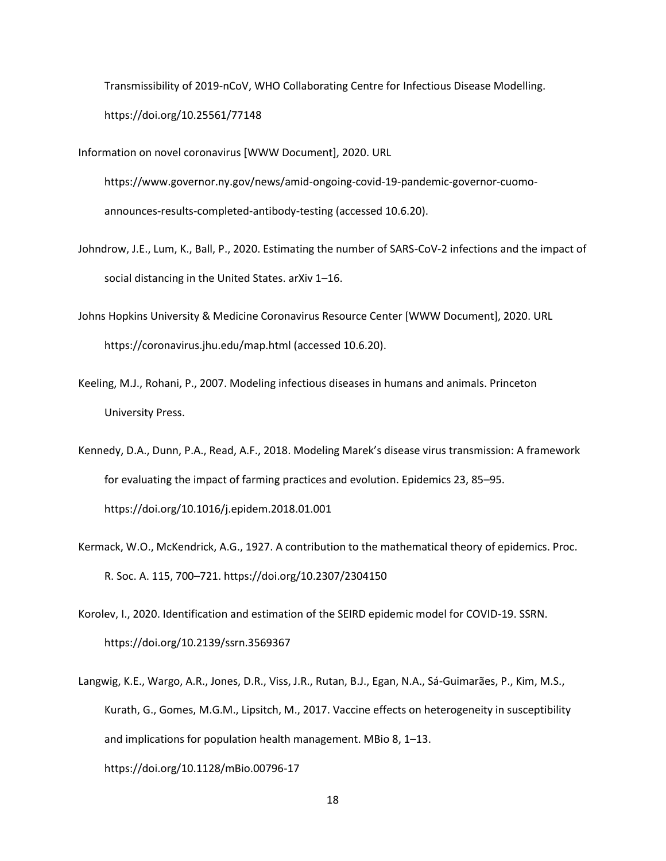Transmissibility of 2019-nCoV, WHO Collaborating Centre for Infectious Disease Modelling. https://doi.org/10.25561/77148

Information on novel coronavirus [WWW Document], 2020. URL

https://www.governor.ny.gov/news/amid-ongoing-covid-19-pandemic-governor-cuomoannounces-results-completed-antibody-testing (accessed 10.6.20).

- Johndrow, J.E., Lum, K., Ball, P., 2020. Estimating the number of SARS-CoV-2 infections and the impact of social distancing in the United States. arXiv 1–16.
- Johns Hopkins University & Medicine Coronavirus Resource Center [WWW Document], 2020. URL https://coronavirus.jhu.edu/map.html (accessed 10.6.20).
- Keeling, M.J., Rohani, P., 2007. Modeling infectious diseases in humans and animals. Princeton University Press.
- Kennedy, D.A., Dunn, P.A., Read, A.F., 2018. Modeling Marek's disease virus transmission: A framework for evaluating the impact of farming practices and evolution. Epidemics 23, 85–95. https://doi.org/10.1016/j.epidem.2018.01.001
- Kermack, W.O., McKendrick, A.G., 1927. A contribution to the mathematical theory of epidemics. Proc. R. Soc. A. 115, 700–721. https://doi.org/10.2307/2304150
- Korolev, I., 2020. Identification and estimation of the SEIRD epidemic model for COVID-19. SSRN. https://doi.org/10.2139/ssrn.3569367
- Langwig, K.E., Wargo, A.R., Jones, D.R., Viss, J.R., Rutan, B.J., Egan, N.A., Sá-Guimarães, P., Kim, M.S., Kurath, G., Gomes, M.G.M., Lipsitch, M., 2017. Vaccine effects on heterogeneity in susceptibility and implications for population health management. MBio 8, 1–13. https://doi.org/10.1128/mBio.00796-17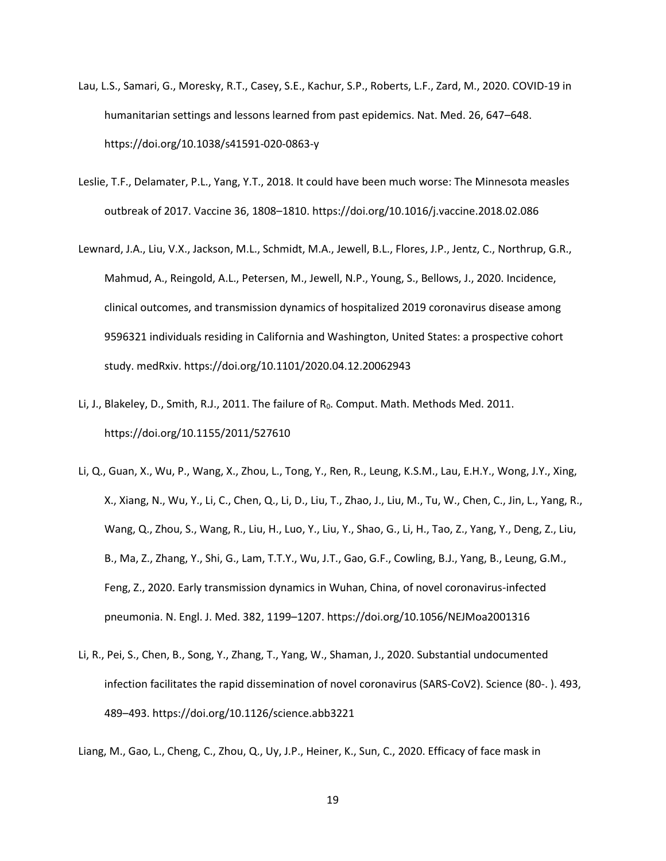- Lau, L.S., Samari, G., Moresky, R.T., Casey, S.E., Kachur, S.P., Roberts, L.F., Zard, M., 2020. COVID-19 in humanitarian settings and lessons learned from past epidemics. Nat. Med. 26, 647–648. https://doi.org/10.1038/s41591-020-0863-y
- Leslie, T.F., Delamater, P.L., Yang, Y.T., 2018. It could have been much worse: The Minnesota measles outbreak of 2017. Vaccine 36, 1808–1810. https://doi.org/10.1016/j.vaccine.2018.02.086
- Lewnard, J.A., Liu, V.X., Jackson, M.L., Schmidt, M.A., Jewell, B.L., Flores, J.P., Jentz, C., Northrup, G.R., Mahmud, A., Reingold, A.L., Petersen, M., Jewell, N.P., Young, S., Bellows, J., 2020. Incidence, clinical outcomes, and transmission dynamics of hospitalized 2019 coronavirus disease among 9596321 individuals residing in California and Washington, United States: a prospective cohort study. medRxiv. https://doi.org/10.1101/2020.04.12.20062943
- Li, J., Blakeley, D., Smith, R.J., 2011. The failure of R<sub>0</sub>. Comput. Math. Methods Med. 2011. https://doi.org/10.1155/2011/527610
- Li, Q., Guan, X., Wu, P., Wang, X., Zhou, L., Tong, Y., Ren, R., Leung, K.S.M., Lau, E.H.Y., Wong, J.Y., Xing, X., Xiang, N., Wu, Y., Li, C., Chen, Q., Li, D., Liu, T., Zhao, J., Liu, M., Tu, W., Chen, C., Jin, L., Yang, R., Wang, Q., Zhou, S., Wang, R., Liu, H., Luo, Y., Liu, Y., Shao, G., Li, H., Tao, Z., Yang, Y., Deng, Z., Liu, B., Ma, Z., Zhang, Y., Shi, G., Lam, T.T.Y., Wu, J.T., Gao, G.F., Cowling, B.J., Yang, B., Leung, G.M., Feng, Z., 2020. Early transmission dynamics in Wuhan, China, of novel coronavirus-infected pneumonia. N. Engl. J. Med. 382, 1199–1207. https://doi.org/10.1056/NEJMoa2001316
- Li, R., Pei, S., Chen, B., Song, Y., Zhang, T., Yang, W., Shaman, J., 2020. Substantial undocumented infection facilitates the rapid dissemination of novel coronavirus (SARS-CoV2). Science (80-. ). 493, 489–493. https://doi.org/10.1126/science.abb3221

Liang, M., Gao, L., Cheng, C., Zhou, Q., Uy, J.P., Heiner, K., Sun, C., 2020. Efficacy of face mask in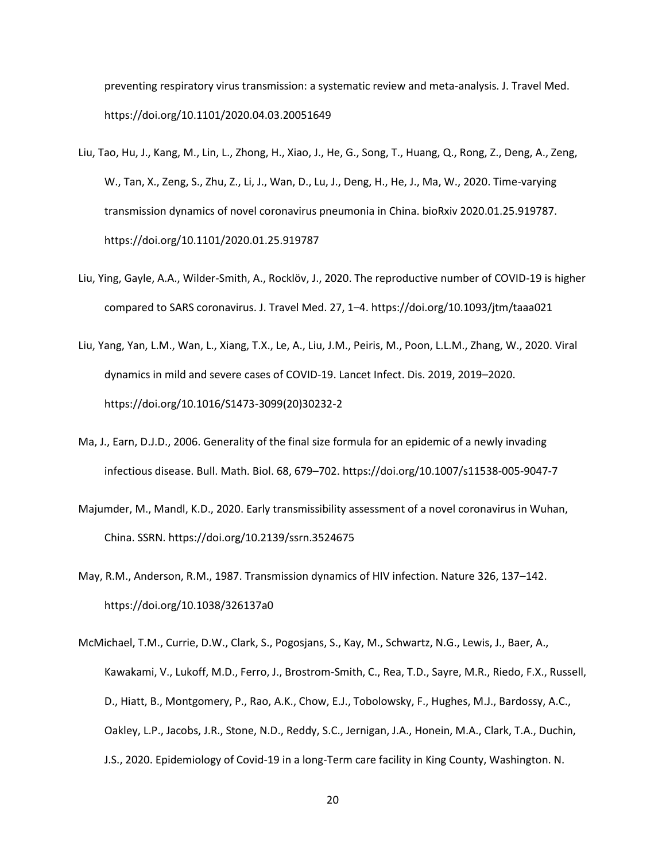preventing respiratory virus transmission: a systematic review and meta-analysis. J. Travel Med. https://doi.org/10.1101/2020.04.03.20051649

- Liu, Tao, Hu, J., Kang, M., Lin, L., Zhong, H., Xiao, J., He, G., Song, T., Huang, Q., Rong, Z., Deng, A., Zeng, W., Tan, X., Zeng, S., Zhu, Z., Li, J., Wan, D., Lu, J., Deng, H., He, J., Ma, W., 2020. Time-varying transmission dynamics of novel coronavirus pneumonia in China. bioRxiv 2020.01.25.919787. https://doi.org/10.1101/2020.01.25.919787
- Liu, Ying, Gayle, A.A., Wilder-Smith, A., Rocklöv, J., 2020. The reproductive number of COVID-19 is higher compared to SARS coronavirus. J. Travel Med. 27, 1–4. https://doi.org/10.1093/jtm/taaa021
- Liu, Yang, Yan, L.M., Wan, L., Xiang, T.X., Le, A., Liu, J.M., Peiris, M., Poon, L.L.M., Zhang, W., 2020. Viral dynamics in mild and severe cases of COVID-19. Lancet Infect. Dis. 2019, 2019–2020. https://doi.org/10.1016/S1473-3099(20)30232-2
- Ma, J., Earn, D.J.D., 2006. Generality of the final size formula for an epidemic of a newly invading infectious disease. Bull. Math. Biol. 68, 679–702. https://doi.org/10.1007/s11538-005-9047-7
- Majumder, M., Mandl, K.D., 2020. Early transmissibility assessment of a novel coronavirus in Wuhan, China. SSRN. https://doi.org/10.2139/ssrn.3524675
- May, R.M., Anderson, R.M., 1987. Transmission dynamics of HIV infection. Nature 326, 137–142. https://doi.org/10.1038/326137a0
- McMichael, T.M., Currie, D.W., Clark, S., Pogosjans, S., Kay, M., Schwartz, N.G., Lewis, J., Baer, A., Kawakami, V., Lukoff, M.D., Ferro, J., Brostrom-Smith, C., Rea, T.D., Sayre, M.R., Riedo, F.X., Russell, D., Hiatt, B., Montgomery, P., Rao, A.K., Chow, E.J., Tobolowsky, F., Hughes, M.J., Bardossy, A.C., Oakley, L.P., Jacobs, J.R., Stone, N.D., Reddy, S.C., Jernigan, J.A., Honein, M.A., Clark, T.A., Duchin, J.S., 2020. Epidemiology of Covid-19 in a long-Term care facility in King County, Washington. N.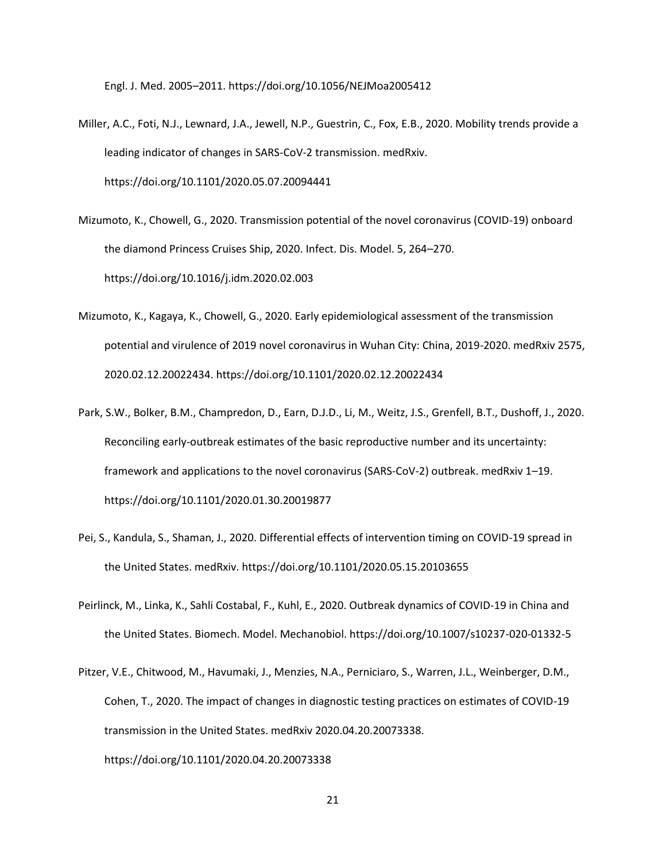Engl. J. Med. 2005–2011. https://doi.org/10.1056/NEJMoa2005412

- Miller, A.C., Foti, N.J., Lewnard, J.A., Jewell, N.P., Guestrin, C., Fox, E.B., 2020. Mobility trends provide a leading indicator of changes in SARS-CoV-2 transmission. medRxiv. https://doi.org/10.1101/2020.05.07.20094441
- Mizumoto, K., Chowell, G., 2020. Transmission potential of the novel coronavirus (COVID-19) onboard the diamond Princess Cruises Ship, 2020. Infect. Dis. Model. 5, 264–270. https://doi.org/10.1016/j.idm.2020.02.003
- Mizumoto, K., Kagaya, K., Chowell, G., 2020. Early epidemiological assessment of the transmission potential and virulence of 2019 novel coronavirus in Wuhan City: China, 2019-2020. medRxiv 2575, 2020.02.12.20022434. https://doi.org/10.1101/2020.02.12.20022434
- Park, S.W., Bolker, B.M., Champredon, D., Earn, D.J.D., Li, M., Weitz, J.S., Grenfell, B.T., Dushoff, J., 2020. Reconciling early-outbreak estimates of the basic reproductive number and its uncertainty: framework and applications to the novel coronavirus (SARS-CoV-2) outbreak. medRxiv 1–19. https://doi.org/10.1101/2020.01.30.20019877
- Pei, S., Kandula, S., Shaman, J., 2020. Differential effects of intervention timing on COVID-19 spread in the United States. medRxiv. https://doi.org/10.1101/2020.05.15.20103655
- Peirlinck, M., Linka, K., Sahli Costabal, F., Kuhl, E., 2020. Outbreak dynamics of COVID-19 in China and the United States. Biomech. Model. Mechanobiol. https://doi.org/10.1007/s10237-020-01332-5
- Pitzer, V.E., Chitwood, M., Havumaki, J., Menzies, N.A., Perniciaro, S., Warren, J.L., Weinberger, D.M., Cohen, T., 2020. The impact of changes in diagnostic testing practices on estimates of COVID-19 transmission in the United States. medRxiv 2020.04.20.20073338. https://doi.org/10.1101/2020.04.20.20073338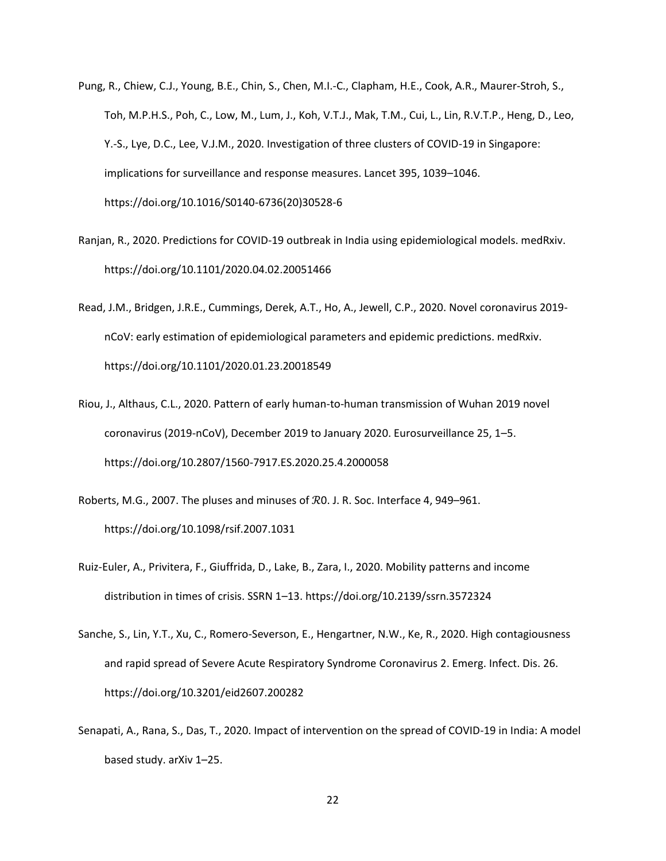- Pung, R., Chiew, C.J., Young, B.E., Chin, S., Chen, M.I.-C., Clapham, H.E., Cook, A.R., Maurer-Stroh, S., Toh, M.P.H.S., Poh, C., Low, M., Lum, J., Koh, V.T.J., Mak, T.M., Cui, L., Lin, R.V.T.P., Heng, D., Leo, Y.-S., Lye, D.C., Lee, V.J.M., 2020. Investigation of three clusters of COVID-19 in Singapore: implications for surveillance and response measures. Lancet 395, 1039–1046. https://doi.org/10.1016/S0140-6736(20)30528-6
- Ranjan, R., 2020. Predictions for COVID-19 outbreak in India using epidemiological models. medRxiv. https://doi.org/10.1101/2020.04.02.20051466
- Read, J.M., Bridgen, J.R.E., Cummings, Derek, A.T., Ho, A., Jewell, C.P., 2020. Novel coronavirus 2019 nCoV: early estimation of epidemiological parameters and epidemic predictions. medRxiv. https://doi.org/10.1101/2020.01.23.20018549
- Riou, J., Althaus, C.L., 2020. Pattern of early human-to-human transmission of Wuhan 2019 novel coronavirus (2019-nCoV), December 2019 to January 2020. Eurosurveillance 25, 1–5. https://doi.org/10.2807/1560-7917.ES.2020.25.4.2000058
- Roberts, M.G., 2007. The pluses and minuses of ℛ0. J. R. Soc. Interface 4, 949–961. https://doi.org/10.1098/rsif.2007.1031
- Ruiz-Euler, A., Privitera, F., Giuffrida, D., Lake, B., Zara, I., 2020. Mobility patterns and income distribution in times of crisis. SSRN 1–13. https://doi.org/10.2139/ssrn.3572324
- Sanche, S., Lin, Y.T., Xu, C., Romero-Severson, E., Hengartner, N.W., Ke, R., 2020. High contagiousness and rapid spread of Severe Acute Respiratory Syndrome Coronavirus 2. Emerg. Infect. Dis. 26. https://doi.org/10.3201/eid2607.200282
- Senapati, A., Rana, S., Das, T., 2020. Impact of intervention on the spread of COVID-19 in India: A model based study. arXiv 1–25.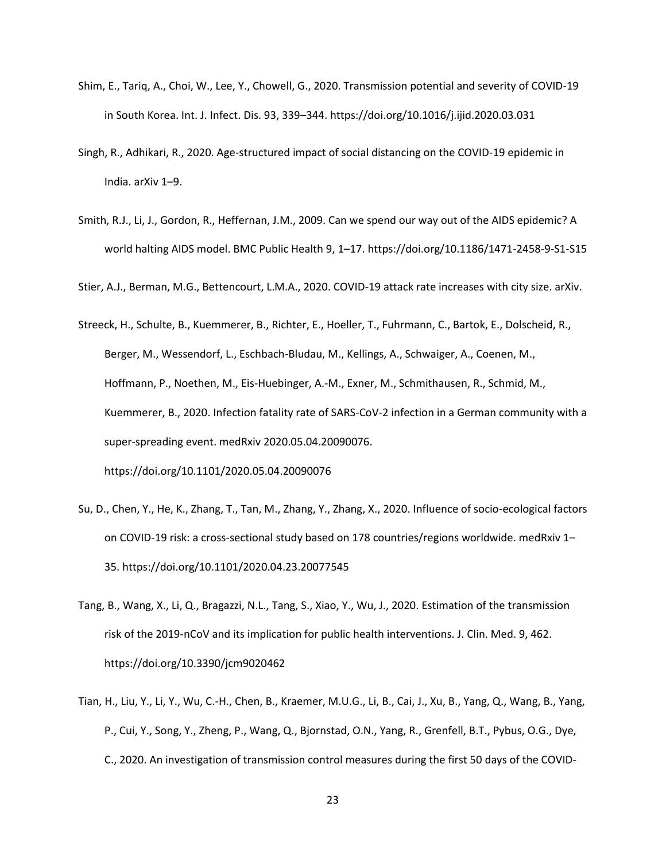- Shim, E., Tariq, A., Choi, W., Lee, Y., Chowell, G., 2020. Transmission potential and severity of COVID-19 in South Korea. Int. J. Infect. Dis. 93, 339–344. https://doi.org/10.1016/j.ijid.2020.03.031
- Singh, R., Adhikari, R., 2020. Age-structured impact of social distancing on the COVID-19 epidemic in India. arXiv 1–9.
- Smith, R.J., Li, J., Gordon, R., Heffernan, J.M., 2009. Can we spend our way out of the AIDS epidemic? A world halting AIDS model. BMC Public Health 9, 1–17. https://doi.org/10.1186/1471-2458-9-S1-S15

Stier, A.J., Berman, M.G., Bettencourt, L.M.A., 2020. COVID-19 attack rate increases with city size. arXiv.

- Streeck, H., Schulte, B., Kuemmerer, B., Richter, E., Hoeller, T., Fuhrmann, C., Bartok, E., Dolscheid, R., Berger, M., Wessendorf, L., Eschbach-Bludau, M., Kellings, A., Schwaiger, A., Coenen, M., Hoffmann, P., Noethen, M., Eis-Huebinger, A.-M., Exner, M., Schmithausen, R., Schmid, M., Kuemmerer, B., 2020. Infection fatality rate of SARS-CoV-2 infection in a German community with a super-spreading event. medRxiv 2020.05.04.20090076. https://doi.org/10.1101/2020.05.04.20090076
- Su, D., Chen, Y., He, K., Zhang, T., Tan, M., Zhang, Y., Zhang, X., 2020. Influence of socio-ecological factors on COVID-19 risk: a cross-sectional study based on 178 countries/regions worldwide. medRxiv 1– 35. https://doi.org/10.1101/2020.04.23.20077545
- Tang, B., Wang, X., Li, Q., Bragazzi, N.L., Tang, S., Xiao, Y., Wu, J., 2020. Estimation of the transmission risk of the 2019-nCoV and its implication for public health interventions. J. Clin. Med. 9, 462. https://doi.org/10.3390/jcm9020462
- Tian, H., Liu, Y., Li, Y., Wu, C.-H., Chen, B., Kraemer, M.U.G., Li, B., Cai, J., Xu, B., Yang, Q., Wang, B., Yang, P., Cui, Y., Song, Y., Zheng, P., Wang, Q., Bjornstad, O.N., Yang, R., Grenfell, B.T., Pybus, O.G., Dye, C., 2020. An investigation of transmission control measures during the first 50 days of the COVID-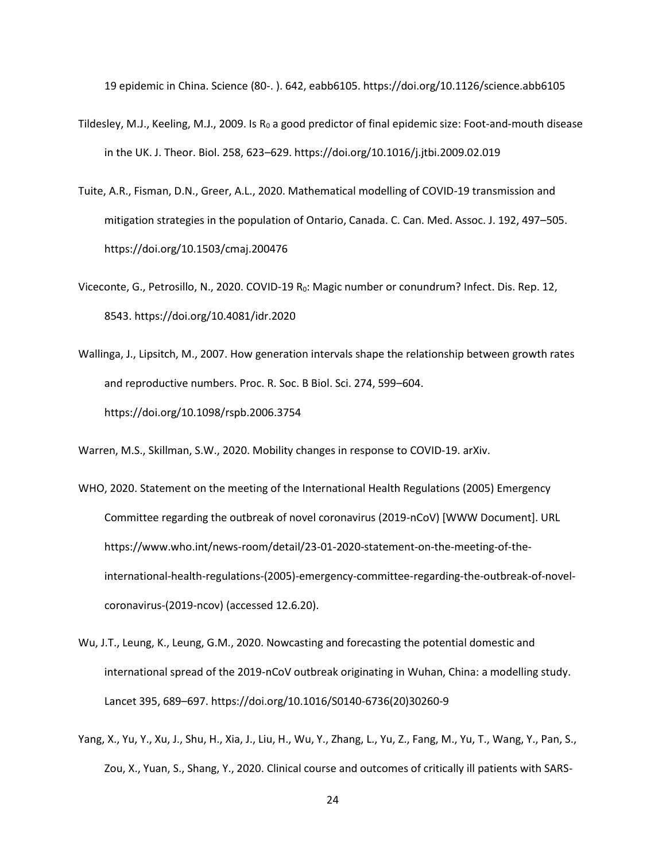19 epidemic in China. Science (80-. ). 642, eabb6105. https://doi.org/10.1126/science.abb6105

- Tildesley, M.J., Keeling, M.J., 2009. Is  $R_0$  a good predictor of final epidemic size: Foot-and-mouth disease in the UK. J. Theor. Biol. 258, 623–629. https://doi.org/10.1016/j.jtbi.2009.02.019
- Tuite, A.R., Fisman, D.N., Greer, A.L., 2020. Mathematical modelling of COVID-19 transmission and mitigation strategies in the population of Ontario, Canada. C. Can. Med. Assoc. J. 192, 497–505. https://doi.org/10.1503/cmaj.200476
- Viceconte, G., Petrosillo, N., 2020. COVID-19 R<sub>0</sub>: Magic number or conundrum? Infect. Dis. Rep. 12, 8543. https://doi.org/10.4081/idr.2020
- Wallinga, J., Lipsitch, M., 2007. How generation intervals shape the relationship between growth rates and reproductive numbers. Proc. R. Soc. B Biol. Sci. 274, 599–604. https://doi.org/10.1098/rspb.2006.3754

Warren, M.S., Skillman, S.W., 2020. Mobility changes in response to COVID-19. arXiv.

- WHO, 2020. Statement on the meeting of the International Health Regulations (2005) Emergency Committee regarding the outbreak of novel coronavirus (2019-nCoV) [WWW Document]. URL https://www.who.int/news-room/detail/23-01-2020-statement-on-the-meeting-of-theinternational-health-regulations-(2005)-emergency-committee-regarding-the-outbreak-of-novelcoronavirus-(2019-ncov) (accessed 12.6.20).
- Wu, J.T., Leung, K., Leung, G.M., 2020. Nowcasting and forecasting the potential domestic and international spread of the 2019-nCoV outbreak originating in Wuhan, China: a modelling study. Lancet 395, 689–697. https://doi.org/10.1016/S0140-6736(20)30260-9
- Yang, X., Yu, Y., Xu, J., Shu, H., Xia, J., Liu, H., Wu, Y., Zhang, L., Yu, Z., Fang, M., Yu, T., Wang, Y., Pan, S., Zou, X., Yuan, S., Shang, Y., 2020. Clinical course and outcomes of critically ill patients with SARS-